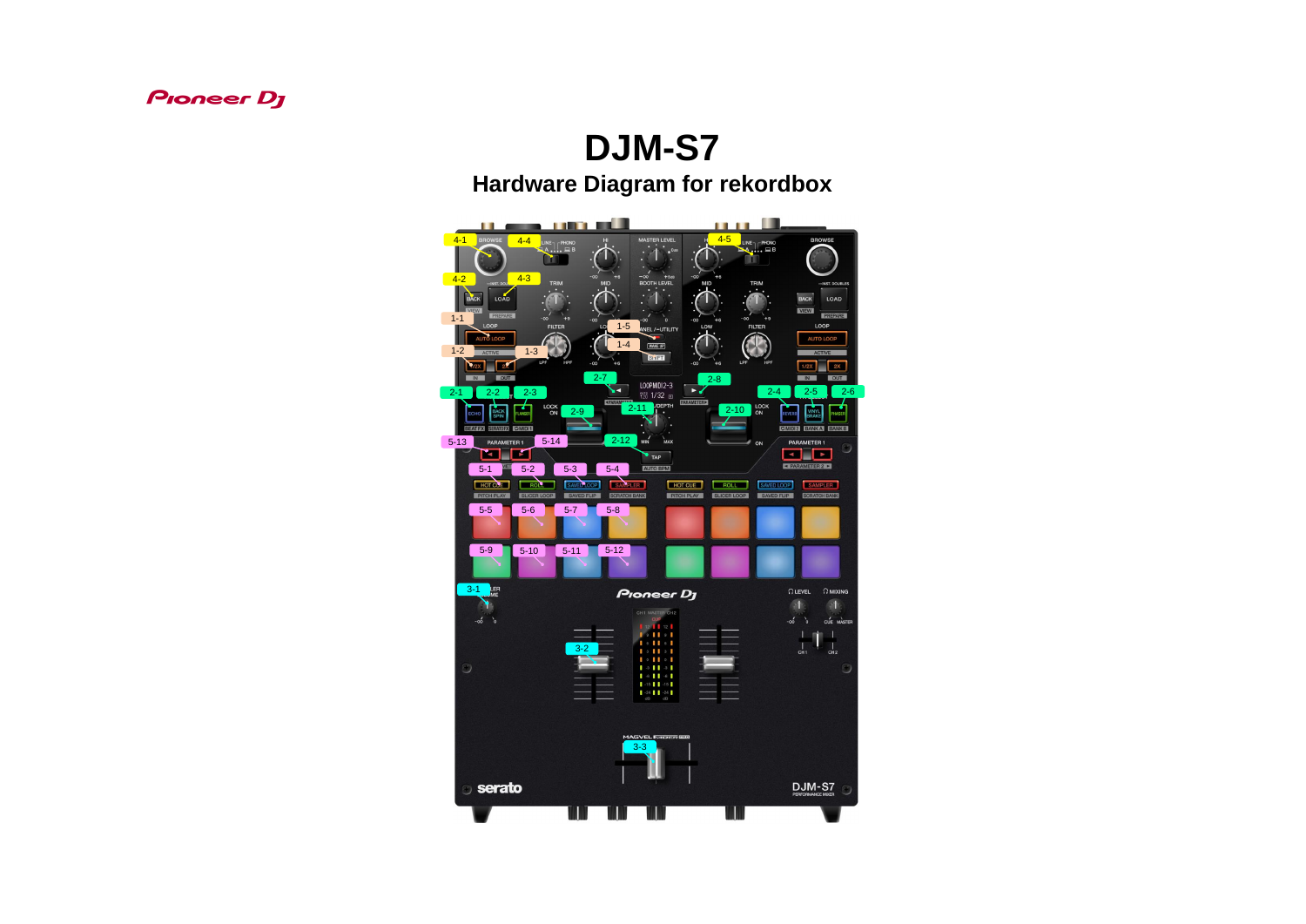### **Pioneer Dy**

# **DJM-S7**

## **Hardware Diagram for rekordbox**

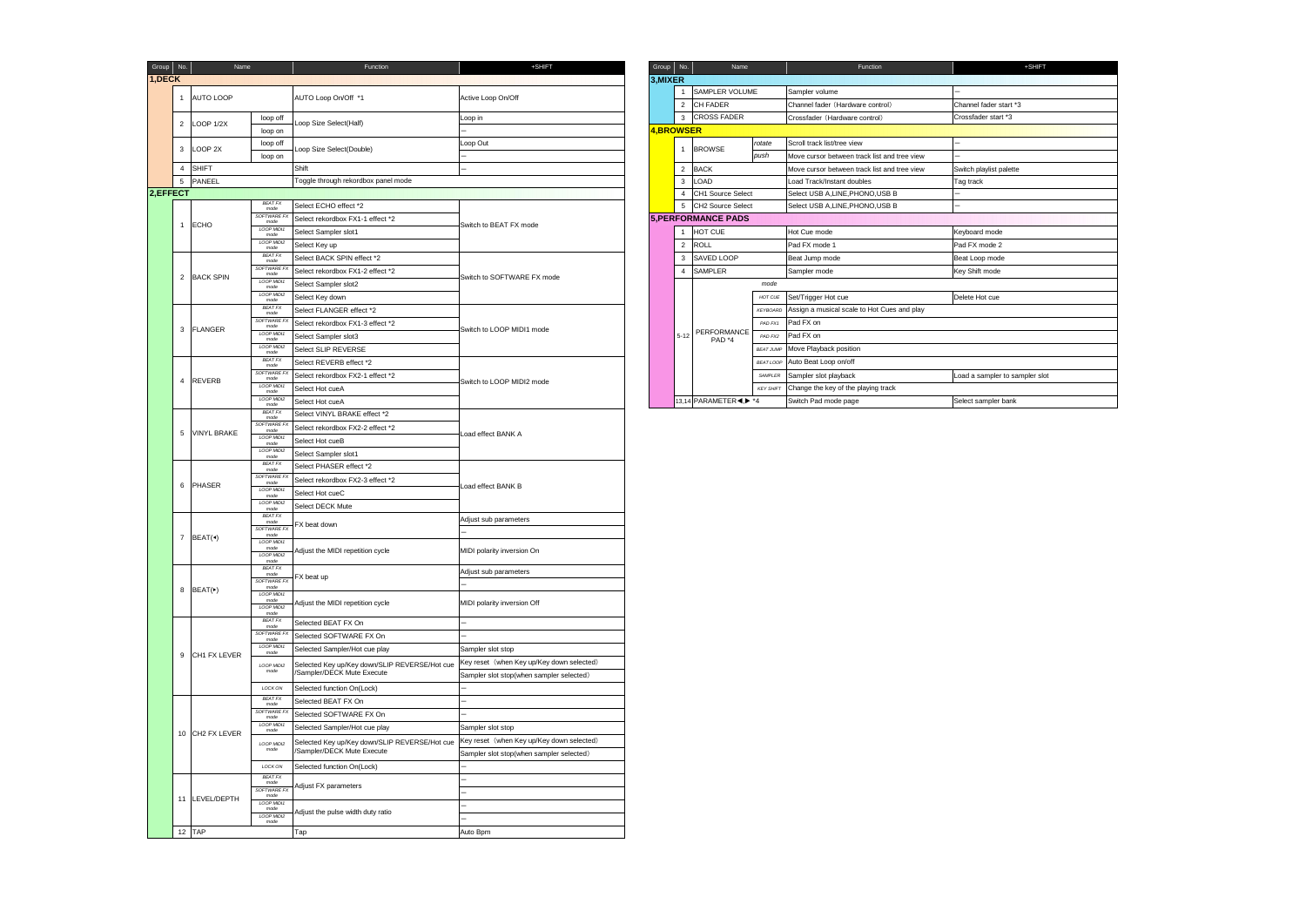| Group $\vert$ No. |              | Name                      | Function                                                                                          | +SHIFT                                    |           | Group $\vert$ No. | Name                       |                  | Function                                     | +SHIFT                       |
|-------------------|--------------|---------------------------|---------------------------------------------------------------------------------------------------|-------------------------------------------|-----------|-------------------|----------------------------|------------------|----------------------------------------------|------------------------------|
| 1, DECK           |              |                           |                                                                                                   |                                           | 3, MIXER  |                   |                            |                  |                                              |                              |
|                   | $\mathbf{1}$ | <b>AUTO LOOP</b>          | AUTO Loop On/Off *1                                                                               | Active Loop On/Off                        |           | $\overline{1}$    | SAMPLER VOLUME             |                  | Sampler volume                               |                              |
|                   |              |                           |                                                                                                   |                                           |           | $\overline{2}$    | CH FADER                   |                  | Channel fader (Hardware control)             | Channel fader start *3       |
|                   |              | 2 LOOP 1/2X               | loop off<br>Loop Size Select(Half)                                                                | Loop in                                   |           | 3                 | <b>CROSS FADER</b>         |                  | Crossfader (Hardware control)                | Crossfader start *3          |
|                   |              |                           | loop on                                                                                           |                                           | 4,BROWSER |                   |                            |                  |                                              |                              |
|                   |              | 3 LOOP 2X                 | loop off<br>Loop Size Select(Double)                                                              | Loop Out                                  |           | $\overline{1}$    | <b>BROWSE</b>              | rotate           | Scroll track list/tree view                  |                              |
|                   |              |                           | loop on                                                                                           |                                           |           |                   |                            | push             | Move cursor between track list and tree view |                              |
|                   |              | 4 SHIFT                   | Shift                                                                                             |                                           |           |                   | 2 BACK                     |                  | Move cursor between track list and tree view | Switch playlist palette      |
|                   | $5^{\circ}$  | PANEEL                    | Toggle through rekordbox panel mode                                                               |                                           |           | 3                 | <b>LOAD</b>                |                  | Load Track/Instant doubles                   | Tag track                    |
| 2,EFFECT          |              |                           |                                                                                                   |                                           |           | $\overline{4}$    | CH1 Source Select          |                  | Select USB A, LINE, PHONO, USB B             |                              |
|                   |              |                           | <b>BEAT FX</b><br>Select ECHO effect *2<br>mode                                                   |                                           |           | $5\overline{5}$   | CH2 Source Select          |                  | Select USB A, LINE, PHONO, USB B             |                              |
|                   | $\mathbf{1}$ | <b>ECHO</b>               | SOFTWARE FX<br>Select rekordbox FX1-1 effect *2<br>mode                                           | Switch to BEAT FX mode                    |           |                   | <b>5, PERFORMANCE PADS</b> |                  |                                              |                              |
|                   |              |                           | LOOP MIDI1<br>Select Sampler slot1<br>mode                                                        |                                           |           | $\overline{1}$    | HOT CUE                    |                  | Hot Cue mode                                 | Keyboard mode                |
|                   |              |                           | LOOP MIDI2<br>Select Key up<br>mode                                                               |                                           |           |                   | 2 ROLL                     |                  | Pad FX mode 1                                | Pad FX mode 2                |
|                   |              |                           | <b>BEAT FX</b><br>Select BACK SPIN effect *2<br>mode                                              |                                           |           | 3                 | SAVED LOOP                 |                  | Beat Jump mode                               | Beat Loop mode               |
|                   |              |                           | SOFTWARE FX<br>Select rekordbox FX1-2 effect *2<br>mode                                           |                                           |           | $\overline{4}$    | SAMPLER                    |                  | Sampler mode                                 | Key Shift mode               |
|                   |              | 2 BACK SPIN               | LOOP MIDI1<br>Select Sampler slot2<br>mode                                                        | Switch to SOFTWARE FX mode                |           |                   |                            | mode             |                                              |                              |
|                   |              |                           | LOOP MIDI2<br>Select Key down<br>mode                                                             |                                           |           |                   |                            | HOT CUE          | Set/Trigger Hot cue                          | Delete Hot cue               |
|                   |              |                           | <b>BEAT FX</b><br>Select FLANGER effect *2<br>mode                                                |                                           |           |                   |                            | <b>KEYBOARD</b>  | Assign a musical scale to Hot Cues and play  |                              |
|                   |              |                           | SOFTWARE FX<br>Select rekordbox FX1-3 effect *2<br>mode                                           |                                           |           |                   |                            | PAD FX1          | Pad FX on                                    |                              |
|                   | $\mathbf{3}$ | <b>FLANGER</b>            | LOOP MIDI:<br>Select Sampler slot3                                                                | Switch to LOOP MIDI1 mode                 |           | $5 - 12$          | PERFORMANCE                | PAD FX2          | Pad FX on                                    |                              |
|                   |              |                           | mode<br>LOOP MIDI2<br>Select SLIP REVERSE                                                         |                                           |           |                   | PAD *4                     | <b>BEAT JUMP</b> | Move Playback position                       |                              |
|                   |              |                           | mode<br><b>BEAT FX</b><br>Select REVERB effect *2                                                 |                                           |           |                   |                            | <b>BEAT LOOP</b> | Auto Beat Loop on/off                        |                              |
|                   |              |                           | mode<br>SOFTWARE F.<br>Select rekordbox FX2-1 effect *2                                           |                                           |           |                   |                            | SAMPLER          | Sampler slot playback                        | Load a sampler to sampler sk |
|                   |              | 4 REVERB                  | mode<br>LOOP MIDI1<br>Select Hot cueA                                                             | Switch to LOOP MIDI2 mode                 |           |                   |                            | <b>KEY SHIFT</b> | Change the key of the playing track          |                              |
|                   |              |                           | mode<br>LOOP MIDI2                                                                                |                                           |           |                   | 13,14 PARAMETER<1> *4      |                  |                                              |                              |
|                   |              |                           | Select Hot cueA<br>mode<br><b>BEAT FX</b>                                                         |                                           |           |                   |                            |                  | Switch Pad mode page                         | Select sampler bank          |
|                   |              |                           | Select VINYL BRAKE effect *2<br>mode<br>SOFTWARE FX                                               |                                           |           |                   |                            |                  |                                              |                              |
|                   |              | 5 VINYL BRAKE             | Select rekordbox FX2-2 effect *2<br>mode<br>LOOP MIDI1                                            | Load effect BANK A                        |           |                   |                            |                  |                                              |                              |
|                   |              |                           | Select Hot cueB<br>mode<br>LOOP MIDI2                                                             |                                           |           |                   |                            |                  |                                              |                              |
|                   |              |                           | Select Sampler slot1<br>mode<br><b>BEAT FX</b>                                                    |                                           |           |                   |                            |                  |                                              |                              |
|                   |              |                           | Select PHASER effect *2<br>mode<br>SOFTWARE FX                                                    |                                           |           |                   |                            |                  |                                              |                              |
|                   | 6            | <b>PHASER</b>             | Select rekordbox FX2-3 effect *2<br>mode<br>LOOP MIDI1                                            | Load effect BANK B                        |           |                   |                            |                  |                                              |                              |
|                   |              |                           | Select Hot cueC<br>mode                                                                           |                                           |           |                   |                            |                  |                                              |                              |
|                   |              |                           | LOOP MIDI2<br>Select DECK Mute<br>mode                                                            |                                           |           |                   |                            |                  |                                              |                              |
|                   |              |                           | <b>BEAT FX</b><br>mode<br>FX beat down                                                            | Adjust sub parameters                     |           |                   |                            |                  |                                              |                              |
|                   |              | 7 BEAT( $\triangleleft$ ) | SOFTWARE FX<br>mode                                                                               |                                           |           |                   |                            |                  |                                              |                              |
|                   |              |                           | LOOP MIDI1<br>mode<br>Adjust the MIDI repetition cycle                                            | MIDI polarity inversion On                |           |                   |                            |                  |                                              |                              |
|                   |              |                           | LOOP MIDI2<br>mode                                                                                |                                           |           |                   |                            |                  |                                              |                              |
|                   |              |                           | <b>BEAT FX</b><br>mode<br>FX beat up                                                              | Adjust sub parameters                     |           |                   |                            |                  |                                              |                              |
|                   |              | 8 $ BEAT(\triangleright)$ | SOFTWARE FX<br>mode                                                                               |                                           |           |                   |                            |                  |                                              |                              |
|                   |              |                           | LOOP MIDI1<br>mode<br>Adjust the MIDI repetition cycle                                            |                                           |           |                   |                            |                  |                                              |                              |
|                   |              |                           | LOOP MIDI2<br>mode                                                                                | MIDI polarity inversion Off               |           |                   |                            |                  |                                              |                              |
|                   |              |                           | <b>BEAT FX</b><br>Selected BEAT FX On<br>mode                                                     |                                           |           |                   |                            |                  |                                              |                              |
|                   |              |                           | SOFTWARE FX<br>Selected SOFTWARE FX On<br>mode                                                    |                                           |           |                   |                            |                  |                                              |                              |
|                   |              |                           | LOOP MIDI1<br>Selected Sampler/Hot cue play<br>mode                                               | Sampler slot stop                         |           |                   |                            |                  |                                              |                              |
|                   |              | 9 CH1 FX LEVER            | Selected Key up/Key down/SLIP REVERSE/Hot cue<br>LOOP MIDI2                                       | Key reset (when Key up/Key down selected) |           |                   |                            |                  |                                              |                              |
|                   |              |                           | mode<br>/Sampler/DECK Mute Execute                                                                | Sampler slot stop(when sampler selected)  |           |                   |                            |                  |                                              |                              |
|                   |              |                           | LOCK ON<br>Selected function On(Lock)                                                             |                                           |           |                   |                            |                  |                                              |                              |
|                   |              |                           | <b>BEAT FX</b><br>Selected BEAT FX On                                                             |                                           |           |                   |                            |                  |                                              |                              |
|                   |              |                           | mode<br>SOFTWARE FX<br>Selected SOFTWARE FX On                                                    |                                           |           |                   |                            |                  |                                              |                              |
|                   |              |                           | mode<br>LOOP MIDI1<br>Selected Sampler/Hot cue play                                               | Sampler slot stop                         |           |                   |                            |                  |                                              |                              |
|                   |              | 10 CH2 FX LEVER           | mode                                                                                              | Key reset (when Key up/Key down selected) |           |                   |                            |                  |                                              |                              |
|                   |              |                           | Selected Key up/Key down/SLIP REVERSE/Hot cue<br>LOOP MIDI2<br>mode<br>/Sampler/DECK Mute Execute |                                           |           |                   |                            |                  |                                              |                              |
|                   |              |                           |                                                                                                   | Sampler slot stop(when sampler selected)  |           |                   |                            |                  |                                              |                              |
|                   |              |                           | Selected function On(Lock)<br>LOCK ON<br><b>BEAT FX</b>                                           |                                           |           |                   |                            |                  |                                              |                              |
|                   |              |                           | mode<br>Adjust FX parameters<br>SOFTWARE FX                                                       |                                           |           |                   |                            |                  |                                              |                              |
|                   |              | 11 LEVEL/DEPTH            | mode<br>LOOP MIDI1                                                                                |                                           |           |                   |                            |                  |                                              |                              |
|                   |              |                           | mode<br>Adjust the pulse width duty ratio<br>LOOP MIDI2                                           |                                           |           |                   |                            |                  |                                              |                              |
|                   |              |                           | mode                                                                                              |                                           |           |                   |                            |                  |                                              |                              |
|                   |              | 12 TAP                    | Tap                                                                                               | Auto Bpm                                  |           |                   |                            |                  |                                              |                              |

|                         | Function                            | +SHIFT                     | Group    | No.<br>Name                                  |                  | Function                                     | +SHIFT                         |  |  |
|-------------------------|-------------------------------------|----------------------------|----------|----------------------------------------------|------------------|----------------------------------------------|--------------------------------|--|--|
|                         |                                     |                            | 3, MIXER |                                              |                  |                                              |                                |  |  |
|                         |                                     |                            |          | <b>SAMPLER VOLUME</b>                        |                  | Sampler volume                               |                                |  |  |
|                         | AUTO Loop On/Off *1                 | Active Loop On/Off         |          | CH FADER<br>$\overline{2}$                   |                  | Channel fader (Hardware control)             | Channel fader start *3         |  |  |
| op off                  |                                     | Loop in                    |          | <b>CROSS FADER</b><br>3                      |                  | Crossfader (Hardware control)                | Crossfader start *3            |  |  |
| op on                   | Loop Size Select(Half)              |                            |          | 4,BROWSER                                    |                  |                                              |                                |  |  |
| op off                  |                                     | Loop Out                   |          |                                              | rotate           | Scroll track list/tree view                  |                                |  |  |
| op on                   | Loop Size Select(Double)            |                            |          | <b>BROWSE</b><br>1                           | push             | Move cursor between track list and tree view |                                |  |  |
|                         | Shift                               |                            |          | 2 BACK                                       |                  | Move cursor between track list and tree view | Switch playlist palette        |  |  |
|                         | Toggle through rekordbox panel mode |                            |          | LOAD<br>3                                    |                  | Load Track/Instant doubles                   | Tag track                      |  |  |
|                         |                                     |                            |          | CH1 Source Select<br>4                       |                  | Select USB A.LINE.PHONO.USB B                |                                |  |  |
| EAT FX<br>mode          | Select ECHO effect *2               |                            |          | 5 CH2 Source Select                          |                  | Select USB A, LINE, PHONO, USB B             |                                |  |  |
| <b>TWARE FX</b><br>mode | Select rekordbox FX1-1 effect *2    |                            |          | <b>5.PERFORMANCE PADS</b>                    |                  |                                              |                                |  |  |
| OP MIDI1<br>mode        | Select Sampler slot1                | Switch to BEAT FX mode     |          | HOT CUE<br>$\mathbf{1}$                      |                  | Hot Cue mode                                 | Keyboard mode                  |  |  |
| OP MIDI2<br>mode        | Select Key up                       |                            |          | 2 ROLL                                       |                  | Pad FX mode 1                                | Pad FX mode 2                  |  |  |
| EAT FX<br>mode          | Select BACK SPIN effect *2          |                            |          | SAVED LOOP<br>3                              |                  | Beat Jump mode                               | Beat Loop mode                 |  |  |
| <b>TWARE FX</b><br>mode | Select rekordbox FX1-2 effect *2    |                            |          | <b>SAMPLER</b><br>$\overline{4}$             |                  | Sampler mode                                 | Key Shift mode                 |  |  |
| OP MIDI1<br>mode        | Select Sampler slot2                | Switch to SOFTWARE FX mode |          | mode                                         |                  |                                              |                                |  |  |
| OP MIDI2<br>mode        | Select Key down                     |                            |          |                                              | HOT CUE          | Set/Trigger Hot cue                          | Delete Hot cue                 |  |  |
| EATFX<br>mode           | Select FLANGER effect *2            |                            |          |                                              | <b>KEYBOARD</b>  | Assign a musical scale to Hot Cues and play  |                                |  |  |
| <b>TWARE FX</b><br>mode | Select rekordbox FX1-3 effect *2    |                            |          |                                              | PAD FX1          | Pad FX on                                    |                                |  |  |
| OP MIDI1<br>mode        | Select Sampler slot3                | Switch to LOOP MIDI1 mode  |          | PERFORMANCE<br>$5 - 12$<br>PAD <sup>*4</sup> | PAD FX2          | Pad FX on                                    |                                |  |  |
| OP MIDI2<br>mode        | Select SLIP REVERSE                 |                            |          |                                              | <b>BEAT JUMP</b> | Move Playback position                       |                                |  |  |
| EAT FX<br>mode          | Select REVERB effect *2             |                            |          |                                              | <b>BEAT LOOP</b> | Auto Beat Loop on/off                        |                                |  |  |
| <b>TWARE FX</b><br>mode | Select rekordbox FX2-1 effect *2    |                            |          |                                              | SAMPLER          | Sampler slot playback                        | Load a sampler to sampler slot |  |  |
| OP MIDI1<br>mode        | Select Hot cueA                     | Switch to LOOP MIDI2 mode  |          |                                              | <b>KEY SHIFT</b> | Change the key of the playing track          |                                |  |  |
| OP MIDI2<br>mode        | Select Hot cueA                     |                            |          | 13.14 PARAMETER 4.                           |                  | Switch Pad mode page                         | Select sampler bank            |  |  |
| $\overline{a}$          |                                     |                            |          |                                              |                  |                                              |                                |  |  |